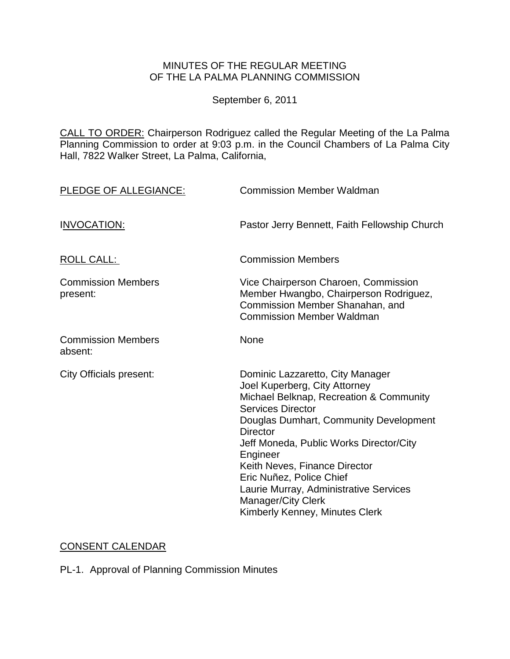## MINUTES OF THE REGULAR MEETING OF THE LA PALMA PLANNING COMMISSION

September 6, 2011

CALL TO ORDER: Chairperson [Rodriguez called the Regular Meeting of the La Palma](http://lapalma.granicus.com/MediaPlayerFrameHandler.php?view_id=&clip_id=610&meta_id=77642)  Planning Commission to order at 9:03 [p.m. in the Council Chambers of La Palma City](http://lapalma.granicus.com/MediaPlayerFrameHandler.php?view_id=&clip_id=610&meta_id=77642)  [Hall, 7822 Walker Street, La Palma, California,](http://lapalma.granicus.com/MediaPlayerFrameHandler.php?view_id=&clip_id=610&meta_id=77642) 

| PLEDGE OF ALLEGIANCE:                 | <b>Commission Member Waldman</b>                                                                                                                                                                                                                                                                                                                                                                                            |
|---------------------------------------|-----------------------------------------------------------------------------------------------------------------------------------------------------------------------------------------------------------------------------------------------------------------------------------------------------------------------------------------------------------------------------------------------------------------------------|
| <b>INVOCATION:</b>                    | Pastor Jerry Bennett, Faith Fellowship Church                                                                                                                                                                                                                                                                                                                                                                               |
| <b>ROLL CALL:</b>                     | <b>Commission Members</b>                                                                                                                                                                                                                                                                                                                                                                                                   |
| <b>Commission Members</b><br>present: | Vice Chairperson Charoen, Commission<br>Member Hwangbo, Chairperson Rodriguez,<br>Commission Member Shanahan, and<br><b>Commission Member Waldman</b>                                                                                                                                                                                                                                                                       |
| <b>Commission Members</b><br>absent:  | None                                                                                                                                                                                                                                                                                                                                                                                                                        |
| City Officials present:               | Dominic Lazzaretto, City Manager<br>Joel Kuperberg, City Attorney<br>Michael Belknap, Recreation & Community<br><b>Services Director</b><br>Douglas Dumhart, Community Development<br><b>Director</b><br>Jeff Moneda, Public Works Director/City<br>Engineer<br>Keith Neves, Finance Director<br>Eric Nuñez, Police Chief<br>Laurie Murray, Administrative Services<br>Manager/City Clerk<br>Kimberly Kenney, Minutes Clerk |

# [CONSENT CALENDAR](http://lapalma.granicus.com/MediaPlayerFrameHandler.php?view_id=&clip_id=610&meta_id=77687)

PL-1. Approval of Planning Commission Minutes